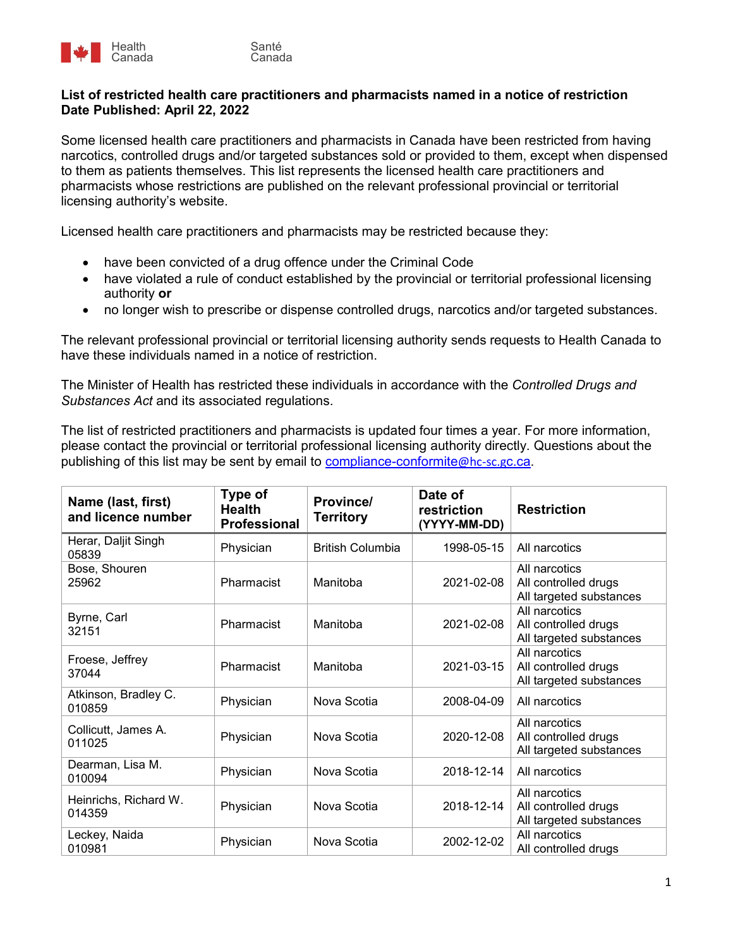

## **List of restricted health care practitioners and pharmacists named in a notice of restriction Date Published: April 22, 2022**

Some licensed health care practitioners and pharmacists in Canada have been restricted from having narcotics, controlled drugs and/or targeted substances sold or provided to them, except when dispensed to them as patients themselves. This list represents the licensed health care practitioners and pharmacists whose restrictions are published on the relevant professional provincial or territorial licensing authority's website.

Licensed health care practitioners and pharmacists may be restricted because they:

- have been convicted of a drug offence under the Criminal Code
- have violated a rule of conduct established by the provincial or territorial professional licensing authority **or**
- no longer wish to prescribe or dispense controlled drugs, narcotics and/or targeted substances.

The relevant professional provincial or territorial licensing authority sends requests to Health Canada to have these individuals named in a notice of restriction.

The Minister of Health has restricted these individuals in accordance with the *Controlled Drugs and Substances Act* and its associated regulations.

The list of restricted practitioners and pharmacists is updated four times a year. For more information, please contact the provincial or territorial professional licensing authority directly. Questions about the publishing of this list may be sent by email to [compliance-conformite](mailto:compliance-conformite@hc-sc.gc.ca)@hc-sc.gc.ca.

| Name (last, first)<br>and licence number | Type of<br><b>Health</b><br>Professional | Province/<br><b>Territory</b> | Date of<br>restriction<br>(YYYY-MM-DD) | <b>Restriction</b>                                               |
|------------------------------------------|------------------------------------------|-------------------------------|----------------------------------------|------------------------------------------------------------------|
| Herar, Daljit Singh<br>05839             | Physician                                | <b>British Columbia</b>       | 1998-05-15                             | All narcotics                                                    |
| Bose, Shouren<br>25962                   | Pharmacist                               | Manitoba                      | 2021-02-08                             | All narcotics<br>All controlled drugs<br>All targeted substances |
| Byrne, Carl<br>32151                     | Pharmacist                               | Manitoba                      | 2021-02-08                             | All narcotics<br>All controlled drugs<br>All targeted substances |
| Froese, Jeffrey<br>37044                 | Pharmacist                               | Manitoba                      | 2021-03-15                             | All narcotics<br>All controlled drugs<br>All targeted substances |
| Atkinson, Bradley C.<br>010859           | Physician                                | Nova Scotia                   | 2008-04-09                             | All narcotics                                                    |
| Collicutt, James A.<br>011025            | Physician                                | Nova Scotia                   | 2020-12-08                             | All narcotics<br>All controlled drugs<br>All targeted substances |
| Dearman, Lisa M.<br>010094               | Physician                                | Nova Scotia                   | 2018-12-14                             | All narcotics                                                    |
| Heinrichs, Richard W.<br>014359          | Physician                                | Nova Scotia                   | 2018-12-14                             | All narcotics<br>All controlled drugs<br>All targeted substances |
| Leckey, Naida<br>010981                  | Physician                                | Nova Scotia                   | 2002-12-02                             | All narcotics<br>All controlled drugs                            |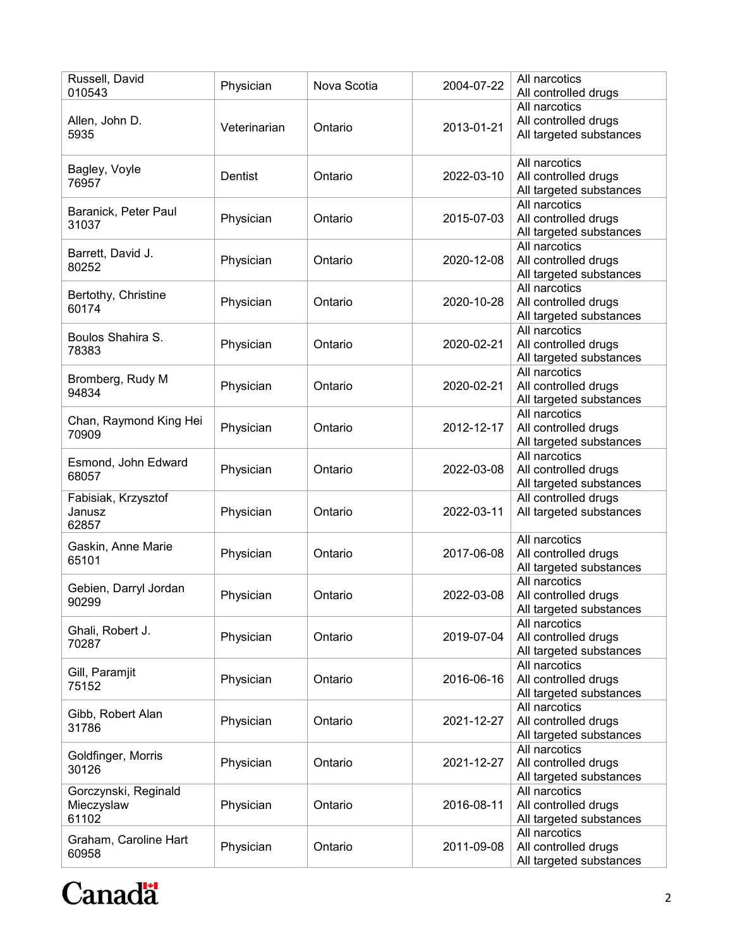| Russell, David<br>010543                    | Physician    | Nova Scotia | 2004-07-22 | All narcotics<br>All controlled drugs                            |
|---------------------------------------------|--------------|-------------|------------|------------------------------------------------------------------|
| Allen, John D.<br>5935                      | Veterinarian | Ontario     | 2013-01-21 | All narcotics<br>All controlled drugs<br>All targeted substances |
| Bagley, Voyle<br>76957                      | Dentist      | Ontario     | 2022-03-10 | All narcotics<br>All controlled drugs<br>All targeted substances |
| Baranick, Peter Paul<br>31037               | Physician    | Ontario     | 2015-07-03 | All narcotics<br>All controlled drugs<br>All targeted substances |
| Barrett, David J.<br>80252                  | Physician    | Ontario     | 2020-12-08 | All narcotics<br>All controlled drugs<br>All targeted substances |
| Bertothy, Christine<br>60174                | Physician    | Ontario     | 2020-10-28 | All narcotics<br>All controlled drugs<br>All targeted substances |
| Boulos Shahira S.<br>78383                  | Physician    | Ontario     | 2020-02-21 | All narcotics<br>All controlled drugs<br>All targeted substances |
| Bromberg, Rudy M<br>94834                   | Physician    | Ontario     | 2020-02-21 | All narcotics<br>All controlled drugs<br>All targeted substances |
| Chan, Raymond King Hei<br>70909             | Physician    | Ontario     | 2012-12-17 | All narcotics<br>All controlled drugs<br>All targeted substances |
| Esmond, John Edward<br>68057                | Physician    | Ontario     | 2022-03-08 | All narcotics<br>All controlled drugs<br>All targeted substances |
| Fabisiak, Krzysztof<br>Janusz<br>62857      | Physician    | Ontario     | 2022-03-11 | All controlled drugs<br>All targeted substances                  |
| Gaskin, Anne Marie<br>65101                 | Physician    | Ontario     | 2017-06-08 | All narcotics<br>All controlled drugs<br>All targeted substances |
| Gebien, Darryl Jordan<br>90299              | Physician    | Ontario     | 2022-03-08 | All narcotics<br>All controlled drugs<br>All targeted substances |
| Ghali, Robert J.<br>70287                   | Physician    | Ontario     | 2019-07-04 | All narcotics<br>All controlled drugs<br>All targeted substances |
| Gill, Paramjit<br>75152                     | Physician    | Ontario     | 2016-06-16 | All narcotics<br>All controlled drugs<br>All targeted substances |
| Gibb, Robert Alan<br>31786                  | Physician    | Ontario     | 2021-12-27 | All narcotics<br>All controlled drugs<br>All targeted substances |
| Goldfinger, Morris<br>30126                 | Physician    | Ontario     | 2021-12-27 | All narcotics<br>All controlled drugs<br>All targeted substances |
| Gorczynski, Reginald<br>Mieczyslaw<br>61102 | Physician    | Ontario     | 2016-08-11 | All narcotics<br>All controlled drugs<br>All targeted substances |
| Graham, Caroline Hart<br>60958              | Physician    | Ontario     | 2011-09-08 | All narcotics<br>All controlled drugs<br>All targeted substances |

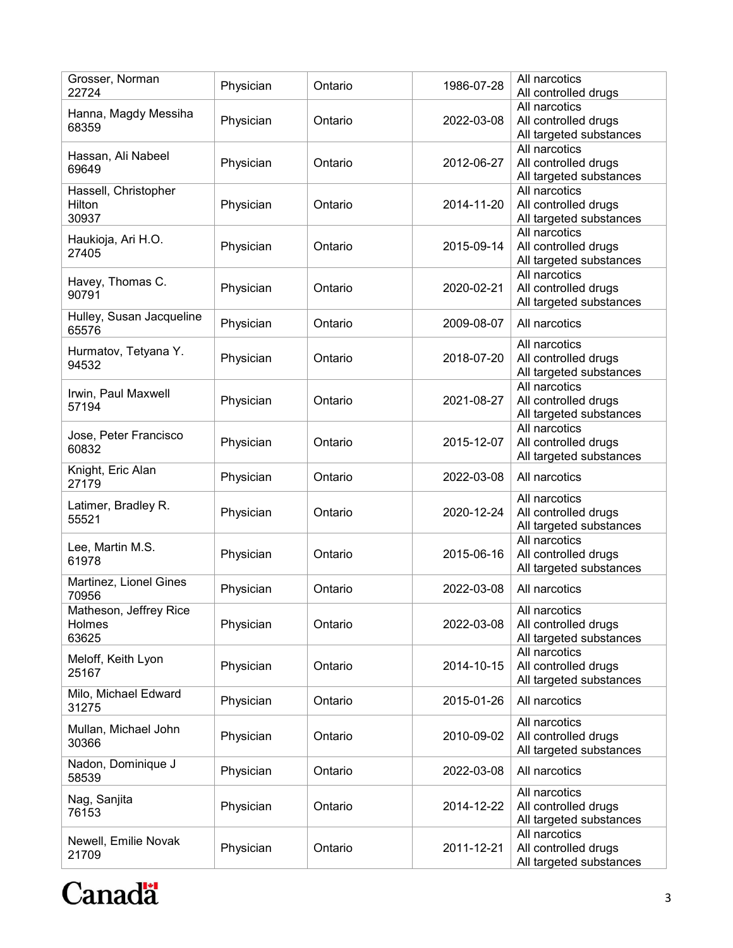| Grosser, Norman<br>22724                  | Physician | Ontario | 1986-07-28 | All narcotics<br>All controlled drugs                            |
|-------------------------------------------|-----------|---------|------------|------------------------------------------------------------------|
| Hanna, Magdy Messiha<br>68359             | Physician | Ontario | 2022-03-08 | All narcotics<br>All controlled drugs<br>All targeted substances |
| Hassan, Ali Nabeel<br>69649               | Physician | Ontario | 2012-06-27 | All narcotics<br>All controlled drugs<br>All targeted substances |
| Hassell, Christopher<br>Hilton<br>30937   | Physician | Ontario | 2014-11-20 | All narcotics<br>All controlled drugs<br>All targeted substances |
| Haukioja, Ari H.O.<br>27405               | Physician | Ontario | 2015-09-14 | All narcotics<br>All controlled drugs<br>All targeted substances |
| Havey, Thomas C.<br>90791                 | Physician | Ontario | 2020-02-21 | All narcotics<br>All controlled drugs<br>All targeted substances |
| Hulley, Susan Jacqueline<br>65576         | Physician | Ontario | 2009-08-07 | All narcotics                                                    |
| Hurmatov, Tetyana Y.<br>94532             | Physician | Ontario | 2018-07-20 | All narcotics<br>All controlled drugs<br>All targeted substances |
| Irwin, Paul Maxwell<br>57194              | Physician | Ontario | 2021-08-27 | All narcotics<br>All controlled drugs<br>All targeted substances |
| Jose, Peter Francisco<br>60832            | Physician | Ontario | 2015-12-07 | All narcotics<br>All controlled drugs<br>All targeted substances |
| Knight, Eric Alan<br>27179                | Physician | Ontario | 2022-03-08 | All narcotics                                                    |
| Latimer, Bradley R.<br>55521              | Physician | Ontario | 2020-12-24 | All narcotics<br>All controlled drugs<br>All targeted substances |
| Lee, Martin M.S.<br>61978                 | Physician | Ontario | 2015-06-16 | All narcotics<br>All controlled drugs<br>All targeted substances |
| Martinez, Lionel Gines<br>70956           | Physician | Ontario | 2022-03-08 | All narcotics                                                    |
| Matheson, Jeffrey Rice<br>Holmes<br>63625 | Physician | Ontario | 2022-03-08 | All narcotics<br>All controlled drugs<br>All targeted substances |
| Meloff, Keith Lyon<br>25167               | Physician | Ontario | 2014-10-15 | All narcotics<br>All controlled drugs<br>All targeted substances |
| Milo, Michael Edward<br>31275             | Physician | Ontario | 2015-01-26 | All narcotics                                                    |
| Mullan, Michael John<br>30366             | Physician | Ontario | 2010-09-02 | All narcotics<br>All controlled drugs<br>All targeted substances |
| Nadon, Dominique J<br>58539               | Physician | Ontario | 2022-03-08 | All narcotics                                                    |
| Nag, Sanjita<br>76153                     | Physician | Ontario | 2014-12-22 | All narcotics<br>All controlled drugs<br>All targeted substances |
| Newell, Emilie Novak<br>21709             | Physician | Ontario | 2011-12-21 | All narcotics<br>All controlled drugs<br>All targeted substances |

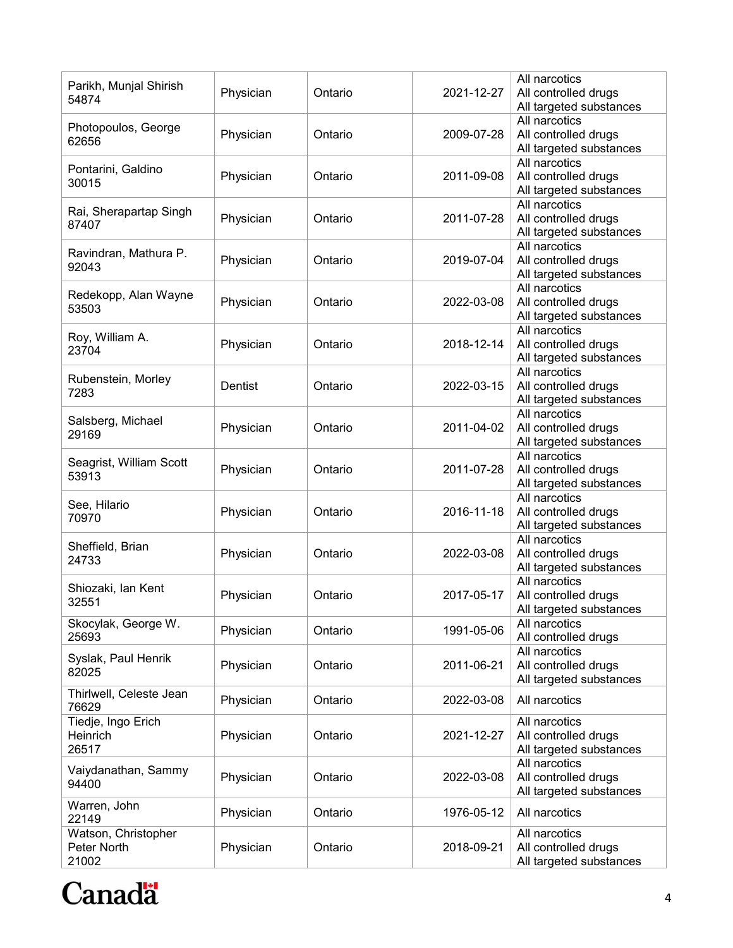| Parikh, Munjal Shirish<br>54874             | Physician | Ontario | 2021-12-27 | All narcotics<br>All controlled drugs<br>All targeted substances |
|---------------------------------------------|-----------|---------|------------|------------------------------------------------------------------|
| Photopoulos, George<br>62656                | Physician | Ontario | 2009-07-28 | All narcotics<br>All controlled drugs<br>All targeted substances |
| Pontarini, Galdino<br>30015                 | Physician | Ontario | 2011-09-08 | All narcotics<br>All controlled drugs<br>All targeted substances |
| Rai, Sherapartap Singh<br>87407             | Physician | Ontario | 2011-07-28 | All narcotics<br>All controlled drugs<br>All targeted substances |
| Ravindran, Mathura P.<br>92043              | Physician | Ontario | 2019-07-04 | All narcotics<br>All controlled drugs<br>All targeted substances |
| Redekopp, Alan Wayne<br>53503               | Physician | Ontario | 2022-03-08 | All narcotics<br>All controlled drugs<br>All targeted substances |
| Roy, William A.<br>23704                    | Physician | Ontario | 2018-12-14 | All narcotics<br>All controlled drugs<br>All targeted substances |
| Rubenstein, Morley<br>7283                  | Dentist   | Ontario | 2022-03-15 | All narcotics<br>All controlled drugs<br>All targeted substances |
| Salsberg, Michael<br>29169                  | Physician | Ontario | 2011-04-02 | All narcotics<br>All controlled drugs<br>All targeted substances |
| Seagrist, William Scott<br>53913            | Physician | Ontario | 2011-07-28 | All narcotics<br>All controlled drugs<br>All targeted substances |
| See, Hilario<br>70970                       | Physician | Ontario | 2016-11-18 | All narcotics<br>All controlled drugs<br>All targeted substances |
| Sheffield, Brian<br>24733                   | Physician | Ontario | 2022-03-08 | All narcotics<br>All controlled drugs<br>All targeted substances |
| Shiozaki, lan Kent<br>32551                 | Physician | Ontario | 2017-05-17 | All narcotics<br>All controlled drugs<br>All targeted substances |
| Skocylak, George W.<br>25693                | Physician | Ontario | 1991-05-06 | All narcotics<br>All controlled drugs                            |
| Syslak, Paul Henrik<br>82025                | Physician | Ontario | 2011-06-21 | All narcotics<br>All controlled drugs<br>All targeted substances |
| Thirlwell, Celeste Jean<br>76629            | Physician | Ontario | 2022-03-08 | All narcotics                                                    |
| Tiedje, Ingo Erich<br>Heinrich<br>26517     | Physician | Ontario | 2021-12-27 | All narcotics<br>All controlled drugs<br>All targeted substances |
| Vaiydanathan, Sammy<br>94400                | Physician | Ontario | 2022-03-08 | All narcotics<br>All controlled drugs<br>All targeted substances |
| Warren, John<br>22149                       | Physician | Ontario | 1976-05-12 | All narcotics                                                    |
| Watson, Christopher<br>Peter North<br>21002 | Physician | Ontario | 2018-09-21 | All narcotics<br>All controlled drugs<br>All targeted substances |